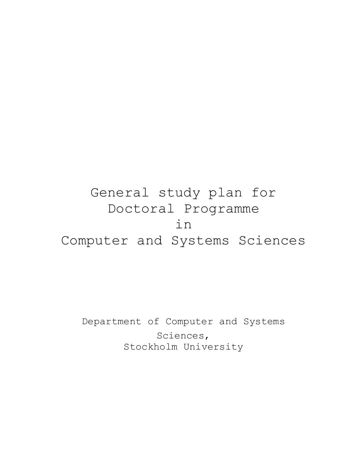# General study plan for Doctoral Programme in Computer and Systems Sciences

Department of Computer and Systems Sciences, Stockholm University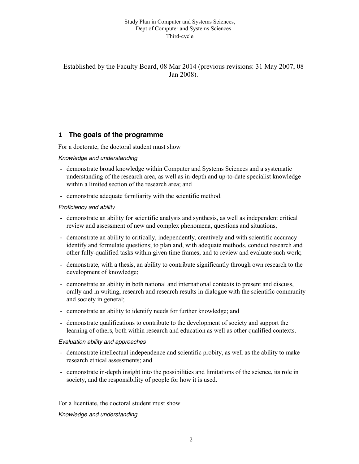#### Study Plan in Computer and Systems Sciences, Dept of Computer and Systems Sciences Third-cycle

## Established by the Faculty Board, 08 Mar 2014 (previous revisions: 31 May 2007, 08 Jan 2008).

## **1 The goals of the programme**

For a doctorate, the doctoral student must show

#### *Knowledge and understanding*

- demonstrate broad knowledge within Computer and Systems Sciences and a systematic understanding of the research area, as well as in-depth and up-to-date specialist knowledge within a limited section of the research area; and
- demonstrate adequate familiarity with the scientific method.

#### *Proficiency and ability*

- demonstrate an ability for scientific analysis and synthesis, as well as independent critical review and assessment of new and complex phenomena, questions and situations,
- demonstrate an ability to critically, independently, creatively and with scientific accuracy identify and formulate questions; to plan and, with adequate methods, conduct research and other fully-qualified tasks within given time frames, and to review and evaluate such work;
- demonstrate, with a thesis, an ability to contribute significantly through own research to the development of knowledge;
- demonstrate an ability in both national and international contexts to present and discuss, orally and in writing, research and research results in dialogue with the scientific community and society in general;
- demonstrate an ability to identify needs for further knowledge; and
- demonstrate qualifications to contribute to the development of society and support the learning of others, both within research and education as well as other qualified contexts.

## *Evaluation ability and approaches*

- demonstrate intellectual independence and scientific probity, as well as the ability to make research ethical assessments; and
- demonstrate in-depth insight into the possibilities and limitations of the science, its role in society, and the responsibility of people for how it is used.

For a licentiate, the doctoral student must show

*Knowledge and understanding*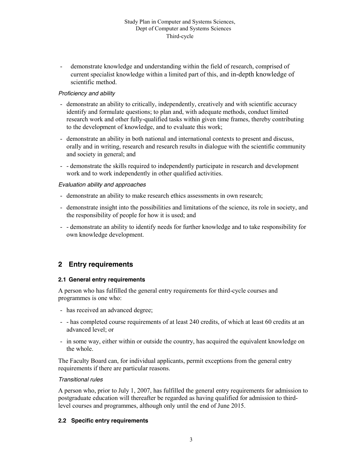- demonstrate knowledge and understanding within the field of research, comprised of current specialist knowledge within a limited part of this, and in-depth knowledge of scientific method.

## *Proficiency and ability*

- demonstrate an ability to critically, independently, creatively and with scientific accuracy identify and formulate questions; to plan and, with adequate methods, conduct limited research work and other fully-qualified tasks within given time frames, thereby contributing to the development of knowledge, and to evaluate this work;
- demonstrate an ability in both national and international contexts to present and discuss, orally and in writing, research and research results in dialogue with the scientific community and society in general; and
- - demonstrate the skills required to independently participate in research and development work and to work independently in other qualified activities.

## *Evaluation ability and approaches*

- demonstrate an ability to make research ethics assessments in own research;
- demonstrate insight into the possibilities and limitations of the science, its role in society, and the responsibility of people for how it is used; and
- - demonstrate an ability to identify needs for further knowledge and to take responsibility for own knowledge development.

# **2 Entry requirements**

## **2.1 General entry requirements**

A person who has fulfilled the general entry requirements for third-cycle courses and programmes is one who:

- has received an advanced degree;
- - has completed course requirements of at least 240 credits, of which at least 60 credits at an advanced level; or
- in some way, either within or outside the country, has acquired the equivalent knowledge on the whole.

The Faculty Board can, for individual applicants, permit exceptions from the general entry requirements if there are particular reasons.

## *Transitional rules*

A person who, prior to July 1, 2007, has fulfilled the general entry requirements for admission to postgraduate education will thereafter be regarded as having qualified for admission to thirdlevel courses and programmes, although only until the end of June 2015.

## **2.2 Specific entry requirements**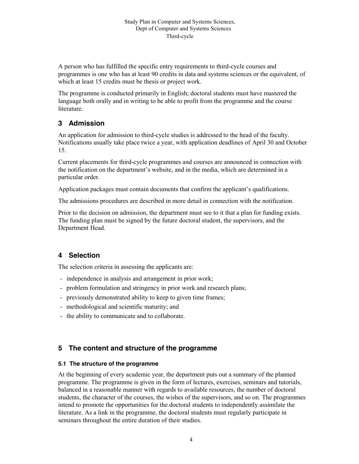A person who has fulfilled the specific entry requirements to third-cycle courses and programmes is one who has at least 90 credits in data and systems sciences or the equivalent, of which at least 15 credits must be thesis or project work.

The programme is conducted primarily in English; doctoral students must have mastered the language both orally and in writing to be able to profit from the programme and the course **literature** 

# **3 Admission**

An application for admission to third-cycle studies is addressed to the head of the faculty. Notifications usually take place twice a year, with application deadlines of April 30 and October 15.

Current placements for third-cycle programmes and courses are announced in connection with the notification on the department's website, and in the media, which are determined in a particular order.

Application packages must contain documents that confirm the applicant's qualifications.

The admissions procedures are described in more detail in connection with the notification.

Prior to the decision on admission, the department must see to it that a plan for funding exists. The funding plan must be signed by the future doctoral student, the supervisors, and the Department Head.

# **4 Selection**

The selection criteria in assessing the applicants are:

- independence in analysis and arrangement in prior work;
- problem formulation and stringency in prior work and research plans;
- previously demonstrated ability to keep to given time frames;
- methodological and scientific maturity; and
- the ability to communicate and to collaborate.

# **5 The content and structure of the programme**

## **5.1 The structure of the programme**

At the beginning of every academic year, the department puts out a summary of the planned programme. The programme is given in the form of lectures, exercises, seminars and tutorials, balanced in a reasonable manner with regards to available resources, the number of doctoral students, the character of the courses, the wishes of the supervisors, and so on. The programmes intend to promote the opportunities for the doctoral students to independently assimilate the literature. As a link in the programme, the doctoral students must regularly participate in seminars throughout the entire duration of their studies.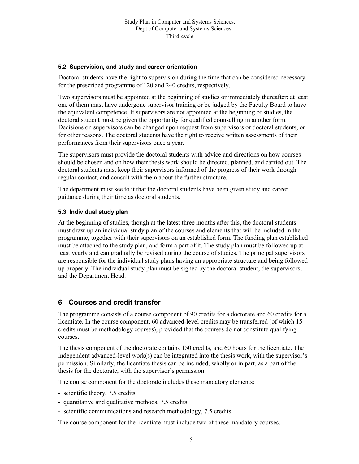## **5.2 Supervision, and study and career orientation**

Doctoral students have the right to supervision during the time that can be considered necessary for the prescribed programme of 120 and 240 credits, respectively.

Two supervisors must be appointed at the beginning of studies or immediately thereafter; at least one of them must have undergone supervisor training or be judged by the Faculty Board to have the equivalent competence. If supervisors are not appointed at the beginning of studies, the doctoral student must be given the opportunity for qualified counselling in another form. Decisions on supervisors can be changed upon request from supervisors or doctoral students, or for other reasons. The doctoral students have the right to receive written assessments of their performances from their supervisors once a year.

The supervisors must provide the doctoral students with advice and directions on how courses should be chosen and on how their thesis work should be directed, planned, and carried out. The doctoral students must keep their supervisors informed of the progress of their work through regular contact, and consult with them about the further structure.

The department must see to it that the doctoral students have been given study and career guidance during their time as doctoral students.

## **5.3 Individual study plan**

At the beginning of studies, though at the latest three months after this, the doctoral students must draw up an individual study plan of the courses and elements that will be included in the programme, together with their supervisors on an established form. The funding plan established must be attached to the study plan, and form a part of it. The study plan must be followed up at least yearly and can gradually be revised during the course of studies. The principal supervisors are responsible for the individual study plans having an appropriate structure and being followed up properly. The individual study plan must be signed by the doctoral student, the supervisors, and the Department Head.

# **6 Courses and credit transfer**

The programme consists of a course component of 90 credits for a doctorate and 60 credits for a licentiate. In the course component, 60 advanced-level credits may be transferred (of which 15 credits must be methodology courses), provided that the courses do not constitute qualifying courses.

The thesis component of the doctorate contains 150 credits, and 60 hours for the licentiate. The independent advanced-level work(s) can be integrated into the thesis work, with the supervisor's permission. Similarly, the licentiate thesis can be included, wholly or in part, as a part of the thesis for the doctorate, with the supervisor's permission.

The course component for the doctorate includes these mandatory elements:

- scientific theory, 7.5 credits
- quantitative and qualitative methods, 7.5 credits
- scientific communications and research methodology, 7.5 credits

The course component for the licentiate must include two of these mandatory courses.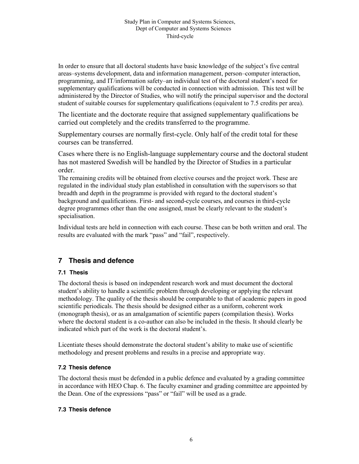#### Study Plan in Computer and Systems Sciences, Dept of Computer and Systems Sciences Third-cycle

In order to ensure that all doctoral students have basic knowledge of the subject's five central areas–systems development, data and information management, person–computer interaction, programming, and IT/information safety–an individual test of the doctoral student's need for supplementary qualifications will be conducted in connection with admission. This test will be administered by the Director of Studies, who will notify the principal supervisor and the doctoral student of suitable courses for supplementary qualifications (equivalent to 7.5 credits per area).

The licentiate and the doctorate require that assigned supplementary qualifications be carried out completely and the credits transferred to the programme.

Supplementary courses are normally first-cycle. Only half of the credit total for these courses can be transferred.

Cases where there is no English-language supplementary course and the doctoral student has not mastered Swedish will be handled by the Director of Studies in a particular order.

The remaining credits will be obtained from elective courses and the project work. These are regulated in the individual study plan established in consultation with the supervisors so that breadth and depth in the programme is provided with regard to the doctoral student's background and qualifications. First- and second-cycle courses, and courses in third-cycle degree programmes other than the one assigned, must be clearly relevant to the student's specialisation.

Individual tests are held in connection with each course. These can be both written and oral. The results are evaluated with the mark "pass" and "fail", respectively.

# **7 Thesis and defence**

## **7.1 Thesis**

The doctoral thesis is based on independent research work and must document the doctoral student's ability to handle a scientific problem through developing or applying the relevant methodology. The quality of the thesis should be comparable to that of academic papers in good scientific periodicals. The thesis should be designed either as a uniform, coherent work (monograph thesis), or as an amalgamation of scientific papers (compilation thesis). Works where the doctoral student is a co-author can also be included in the thesis. It should clearly be indicated which part of the work is the doctoral student's.

Licentiate theses should demonstrate the doctoral student's ability to make use of scientific methodology and present problems and results in a precise and appropriate way.

## **7.2 Thesis defence**

The doctoral thesis must be defended in a public defence and evaluated by a grading committee in accordance with HEO Chap. 6. The faculty examiner and grading committee are appointed by the Dean. One of the expressions "pass" or "fail" will be used as a grade.

## **7.3 Thesis defence**